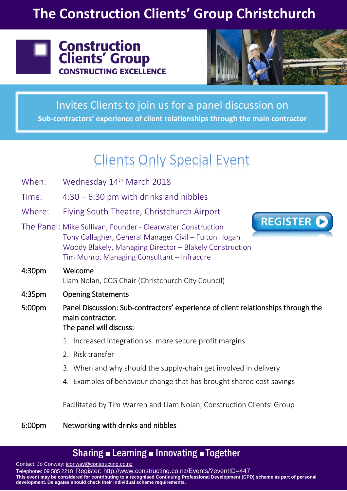## **The Construction Clients' Group Christchurch**





Invites Clients to join us for a panel discussion on **Sub-contractors' experience of client relationships through the main contractor**

# Clients Only Special Event

- When: Wednesday 14<sup>th</sup> March 2018
- Time: 4:30 6:30 pm with drinks and nibbles
- Where: Flying South Theatre, Christchurch Airport
- The Panel: Mike Sullivan, Founder Clearwater Construction Tony Gallagher, General Manager Civil – Fulton Hogan Woody Blakely, Managing Director – Blakely Construction Tim Munro, Managing Consultant – Infracure



- 4:30pm Welcome Liam Nolan, CCG Chair (Christchurch City Council)
- 4:35pm Opening Statements
- 5:00pm Panel Discussion: Sub-contractors' experience of client relationships through the main contractor. The panel will discuss:
	- 1. Increased integration vs. more secure profit margins
	- 2. Risk transfer
	- 3. When and why should the supply-chain get involved in delivery
	- 4. Examples of behaviour change that has brought shared cost savings

Facilitated by Tim Warren and Liam Nolan, Construction Clients' Group

#### 6:00pm Networking with drinks and nibbles

### Sharing **Example 2 Innovating Example 1** Together

Contact: Jo Conway: [jconway@constructing.co.nz](mailto:jconway@constructing.co.nz)

Telephone: 09 585 2218 Register: <http://www.constructing.co.nz/Events/?eventID=447> **This event may be considered for contributing to a recognised Continuing Professional Development (CPD) scheme as part of personal development. Delegates should check their individual scheme requirements.**